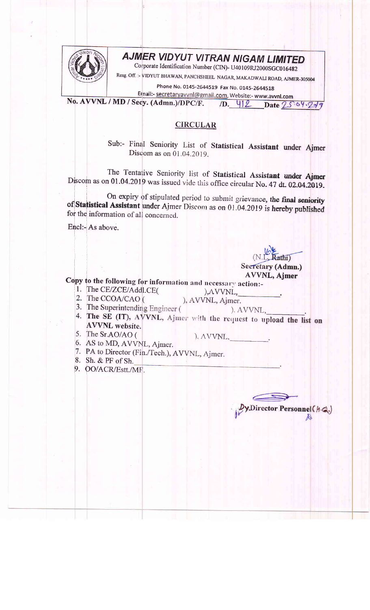

## AJMER VIDYUT VITRAN NIGAM LIMITED

Corporate Identification Number (CIN)- U40109RJ2000SGC016482

Resg. Off. :- VIDYUT BHAWAN, PANCHSHEEL NAGAR, MAKADWALI ROAD, AJMER-305004

Phone No. 0145-2644519 Fax No. 0145-2644518

Email:- secretaryavvnl@gmail.com, Website:- www.avvnl.com No. AVVNL / MD / Secy. (Admn.)/DPC/F.  $/D. 412$  Date  $25.64.249$ 

## **CIRCULAR**

Sub:- Final Seniority List of Statistical Assistant under Ajmer Discom as on  $01.04.2019$ .

The Tentative Seniority list of Statistical Assistant under Ajmer Discom as on 01.04.2019 was issued vide this office circular No. 47 dt. 02.04.2019.

On expiry of stipulated period to submit grievance, the final seniority of Statistical Assistant under Ajmer Discom as on 01.04.2019 is hereby published for the information of all concerned.

Encl:- As above.

 $\text{ath}$ Secretary (Admn.) **AVVNL, Ajmer** 

y,Director Personnel (h.Q.)

*r* 

Copy to the following for information and necessary action:-

- 1. The CE/ZCE/Addl.CE( 2. The CCOA/CAO (
- , AVVNL, ), AVVNL, Ajmer.
- 3. The Superintending Engineer (
- ).  $AVVNL$ , 4. The SE (IT), AVVNL, Ajmer with the request to upload the list on **AVVNL** website.
- 5. The Sr.AO/AO (

), AVVNL.

- 6. AS to MD, AVVNL, Ajmer.
- 7. PA to Director (Fin./Tech.), AVVNL, Ajmer.
- 8. Sh. & PF of Sh.
- 9. OO/ACR/Estt./MF.